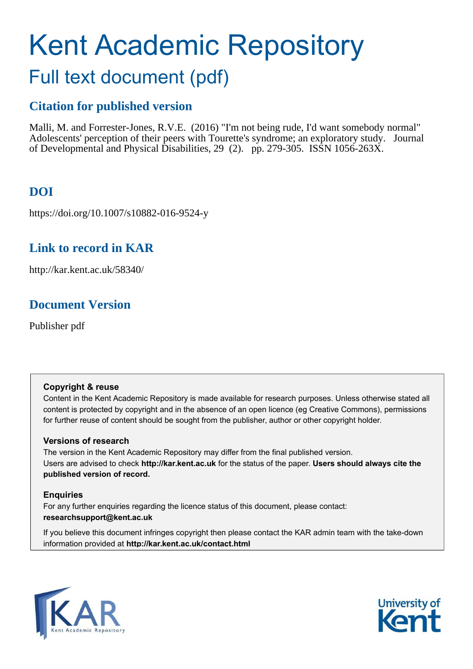# Kent Academic Repository Full text document (pdf)

# **Citation for published version**

Malli, M. and Forrester-Jones, R.V.E. (2016) "I'm not being rude, I'd want somebody normal" Adolescents' perception of their peers with Tourette's syndrome; an exploratory study. Journal of Developmental and Physical Disabilities, 29 (2). pp. 279-305. ISSN 1056-263X.

# **DOI**

https://doi.org/10.1007/s10882-016-9524-y

## **Link to record in KAR**

http://kar.kent.ac.uk/58340/

# **Document Version**

Publisher pdf

## **Copyright & reuse**

Content in the Kent Academic Repository is made available for research purposes. Unless otherwise stated all content is protected by copyright and in the absence of an open licence (eg Creative Commons), permissions for further reuse of content should be sought from the publisher, author or other copyright holder.

## **Versions of research**

The version in the Kent Academic Repository may differ from the final published version. Users are advised to check **http://kar.kent.ac.uk** for the status of the paper. **Users should always cite the published version of record.**

## **Enquiries**

For any further enquiries regarding the licence status of this document, please contact: **researchsupport@kent.ac.uk**

If you believe this document infringes copyright then please contact the KAR admin team with the take-down information provided at **http://kar.kent.ac.uk/contact.html**



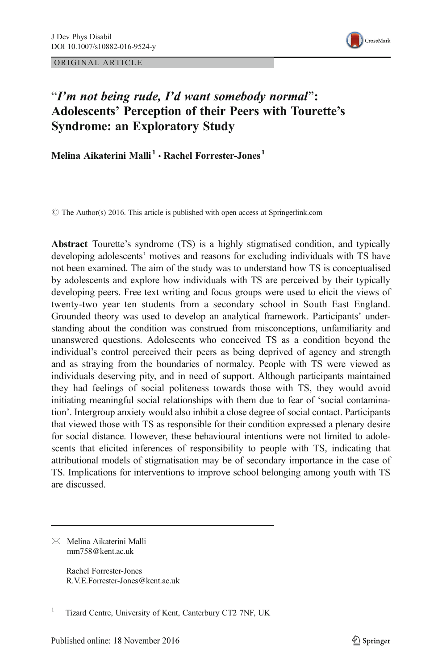ORIGINAL ARTICLE



## "I'm not being rude, I'd want somebody normal": Adolescents' Perception of their Peers with Tourette's Syndrome: an Exploratory Study

Melina Aikaterini Malli<sup>1</sup> • Rachel Forrester-Jones<sup>1</sup>

© The Author(s) 2016. This article is published with open access at Springerlink.com

Abstract Tourette's syndrome (TS) is a highly stigmatised condition, and typically developing adolescents' motives and reasons for excluding individuals with TS have not been examined. The aim of the study was to understand how TS is conceptualised by adolescents and explore how individuals with TS are perceived by their typically developing peers. Free text writing and focus groups were used to elicit the views of twenty-two year ten students from a secondary school in South East England. Grounded theory was used to develop an analytical framework. Participants' understanding about the condition was construed from misconceptions, unfamiliarity and unanswered questions. Adolescents who conceived TS as a condition beyond the individual's control perceived their peers as being deprived of agency and strength and as straying from the boundaries of normalcy. People with TS were viewed as individuals deserving pity, and in need of support. Although participants maintained they had feelings of social politeness towards those with TS, they would avoid initiating meaningful social relationships with them due to fear of 'social contamination'. Intergroup anxiety would also inhibit a close degree of social contact. Participants that viewed those with TS as responsible for their condition expressed a plenary desire for social distance. However, these behavioural intentions were not limited to adolescents that elicited inferences of responsibility to people with TS, indicating that attributional models of stigmatisation may be of secondary importance in the case of TS. Implications for interventions to improve school belonging among youth with TS are discussed.

 $\boxtimes$  Melina Aikaterini Malli mm758@kent.ac.uk

> Rachel Forrester-Jones R.V.E.Forrester-Jones@kent.ac.uk

<sup>1</sup> Tizard Centre, University of Kent, Canterbury CT2 7NF, UK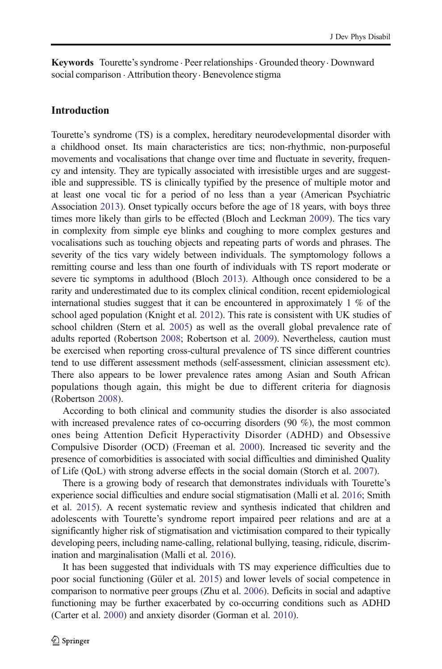Keywords Tourette's syndrome . Peer relationships. Grounded theory. Downward social comparison . Attribution theory. Benevolence stigma

#### Introduction

Tourette's syndrome (TS) is a complex, hereditary neurodevelopmental disorder with a childhood onset. Its main characteristics are tics; non-rhythmic, non-purposeful movements and vocalisations that change over time and fluctuate in severity, frequency and intensity. They are typically associated with irresistible urges and are suggestible and suppressible. TS is clinically typified by the presence of multiple motor and at least one vocal tic for a period of no less than a year (American Psychiatric Association [2013](#page-23-0)). Onset typically occurs before the age of 18 years, with boys three times more likely than girls to be effected (Bloch and Leckman [2009](#page-23-0)). The tics vary in complexity from simple eye blinks and coughing to more complex gestures and vocalisations such as touching objects and repeating parts of words and phrases. The severity of the tics vary widely between individuals. The symptomology follows a remitting course and less than one fourth of individuals with TS report moderate or severe tic symptoms in adulthood (Bloch [2013](#page-23-0)). Although once considered to be a rarity and underestimated due to its complex clinical condition, recent epidemiological international studies suggest that it can be encountered in approximately 1 % of the school aged population (Knight et al. [2012](#page-24-0)). This rate is consistent with UK studies of school children (Stern et al. [2005](#page-25-0)) as well as the overall global prevalence rate of adults reported (Robertson [2008;](#page-25-0) Robertson et al. [2009](#page-25-0)). Nevertheless, caution must be exercised when reporting cross-cultural prevalence of TS since different countries tend to use different assessment methods (self-assessment, clinician assessment etc). There also appears to be lower prevalence rates among Asian and South African populations though again, this might be due to different criteria for diagnosis (Robertson [2008](#page-25-0)).

According to both clinical and community studies the disorder is also associated with increased prevalence rates of co-occurring disorders (90 %), the most common ones being Attention Deficit Hyperactivity Disorder (ADHD) and Obsessive Compulsive Disorder (OCD) (Freeman et al. [2000\)](#page-24-0). Increased tic severity and the presence of comorbidities is associated with social difficulties and diminished Quality of Life (QoL) with strong adverse effects in the social domain (Storch et al. [2007\)](#page-25-0).

There is a growing body of research that demonstrates individuals with Tourette's experience social difficulties and endure social stigmatisation (Malli et al. [2016;](#page-25-0) Smith et al. [2015\)](#page-25-0). A recent systematic review and synthesis indicated that children and adolescents with Tourette's syndrome report impaired peer relations and are at a significantly higher risk of stigmatisation and victimisation compared to their typically developing peers, including name-calling, relational bullying, teasing, ridicule, discrimination and marginalisation (Malli et al. [2016](#page-25-0)).

It has been suggested that individuals with TS may experience difficulties due to poor social functioning (Güler et al. [2015\)](#page-24-0) and lower levels of social competence in comparison to normative peer groups (Zhu et al. [2006](#page-26-0)). Deficits in social and adaptive functioning may be further exacerbated by co-occurring conditions such as ADHD (Carter et al. [2000\)](#page-23-0) and anxiety disorder (Gorman et al. [2010](#page-24-0)).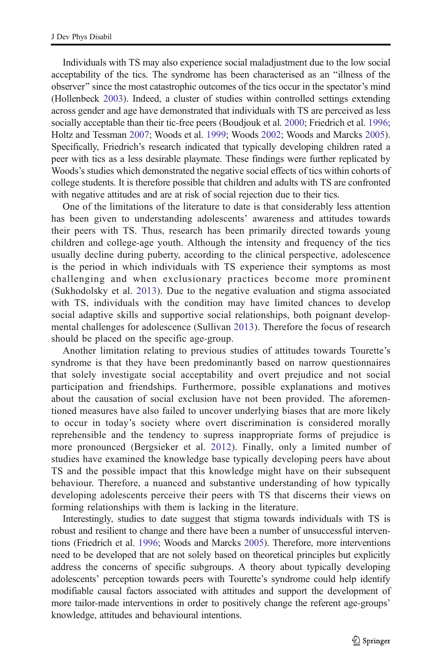Individuals with TS may also experience social maladjustment due to the low social acceptability of the tics. The syndrome has been characterised as an "illness of the observer" since the most catastrophic outcomes of the tics occur in the spectator's mind (Hollenbeck [2003](#page-24-0)). Indeed, a cluster of studies within controlled settings extending across gender and age have demonstrated that individuals with TS are perceived as less socially acceptable than their tic-free peers (Boudjouk et al. [2000](#page-23-0); Friedrich et al. [1996;](#page-24-0) Holtz and Tessman [2007](#page-24-0); Woods et al. [1999;](#page-26-0) Woods [2002](#page-26-0); Woods and Marcks [2005\)](#page-26-0). Specifically, Friedrich's research indicated that typically developing children rated a peer with tics as a less desirable playmate. These findings were further replicated by Woods's studies which demonstrated the negative social effects of tics within cohorts of college students. It is therefore possible that children and adults with TS are confronted with negative attitudes and are at risk of social rejection due to their tics.

One of the limitations of the literature to date is that considerably less attention has been given to understanding adolescents' awareness and attitudes towards their peers with TS. Thus, research has been primarily directed towards young children and college-age youth. Although the intensity and frequency of the tics usually decline during puberty, according to the clinical perspective, adolescence is the period in which individuals with TS experience their symptoms as most challenging and when exclusionary practices become more prominent (Sukhodolsky et al. [2013](#page-25-0)). Due to the negative evaluation and stigma associated with TS, individuals with the condition may have limited chances to develop social adaptive skills and supportive social relationships, both poignant developmental challenges for adolescence (Sullivan [2013\)](#page-25-0). Therefore the focus of research should be placed on the specific age-group.

Another limitation relating to previous studies of attitudes towards Tourette's syndrome is that they have been predominantly based on narrow questionnaires that solely investigate social acceptability and overt prejudice and not social participation and friendships. Furthermore, possible explanations and motives about the causation of social exclusion have not been provided. The aforementioned measures have also failed to uncover underlying biases that are more likely to occur in today's society where overt discrimination is considered morally reprehensible and the tendency to supress inappropriate forms of prejudice is more pronounced (Bergsieker et al. [2012](#page-23-0)). Finally, only a limited number of studies have examined the knowledge base typically developing peers have about TS and the possible impact that this knowledge might have on their subsequent behaviour. Therefore, a nuanced and substantive understanding of how typically developing adolescents perceive their peers with TS that discerns their views on forming relationships with them is lacking in the literature.

Interestingly, studies to date suggest that stigma towards individuals with TS is robust and resilient to change and there have been a number of unsuccessful interventions (Friedrich et al. [1996;](#page-24-0) Woods and Marcks [2005](#page-26-0)). Therefore, more interventions need to be developed that are not solely based on theoretical principles but explicitly address the concerns of specific subgroups. A theory about typically developing adolescents' perception towards peers with Tourette's syndrome could help identify modifiable causal factors associated with attitudes and support the development of more tailor-made interventions in order to positively change the referent age-groups' knowledge, attitudes and behavioural intentions.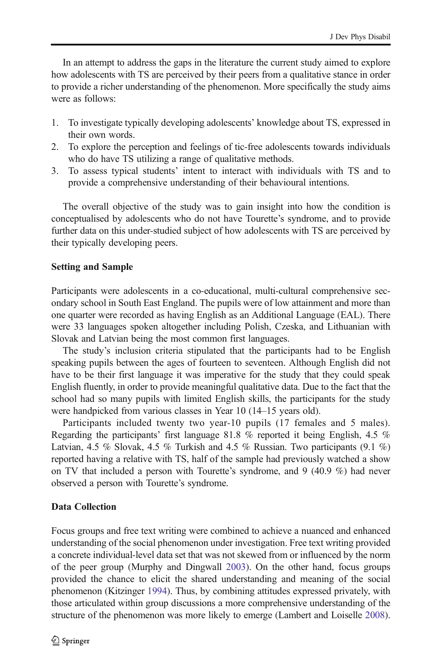In an attempt to address the gaps in the literature the current study aimed to explore how adolescents with TS are perceived by their peers from a qualitative stance in order to provide a richer understanding of the phenomenon. More specifically the study aims were as follows:

- 1. To investigate typically developing adolescents' knowledge about TS, expressed in their own words.
- 2. To explore the perception and feelings of tic-free adolescents towards individuals who do have TS utilizing a range of qualitative methods.
- 3. To assess typical students' intent to interact with individuals with TS and to provide a comprehensive understanding of their behavioural intentions.

The overall objective of the study was to gain insight into how the condition is conceptualised by adolescents who do not have Tourette's syndrome, and to provide further data on this under-studied subject of how adolescents with TS are perceived by their typically developing peers.

#### Setting and Sample

Participants were adolescents in a co-educational, multi-cultural comprehensive secondary school in South East England. The pupils were of low attainment and more than one quarter were recorded as having English as an Additional Language (EAL). There were 33 languages spoken altogether including Polish, Czeska, and Lithuanian with Slovak and Latvian being the most common first languages.

The study's inclusion criteria stipulated that the participants had to be English speaking pupils between the ages of fourteen to seventeen. Although English did not have to be their first language it was imperative for the study that they could speak English fluently, in order to provide meaningful qualitative data. Due to the fact that the school had so many pupils with limited English skills, the participants for the study were handpicked from various classes in Year 10 (14–15 years old).

Participants included twenty two year-10 pupils (17 females and 5 males). Regarding the participants' first language 81.8 % reported it being English, 4.5 % Latvian, 4.5 % Slovak, 4.5 % Turkish and 4.5 % Russian. Two participants  $(9.1 \%)$ reported having a relative with TS, half of the sample had previously watched a show on TV that included a person with Tourette's syndrome, and 9 (40.9 %) had never observed a person with Tourette's syndrome.

#### Data Collection

Focus groups and free text writing were combined to achieve a nuanced and enhanced understanding of the social phenomenon under investigation. Free text writing provided a concrete individual-level data set that was not skewed from or influenced by the norm of the peer group (Murphy and Dingwall [2003\)](#page-25-0). On the other hand, focus groups provided the chance to elicit the shared understanding and meaning of the social phenomenon (Kitzinger [1994](#page-24-0)). Thus, by combining attitudes expressed privately, with those articulated within group discussions a more comprehensive understanding of the structure of the phenomenon was more likely to emerge (Lambert and Loiselle [2008\)](#page-25-0).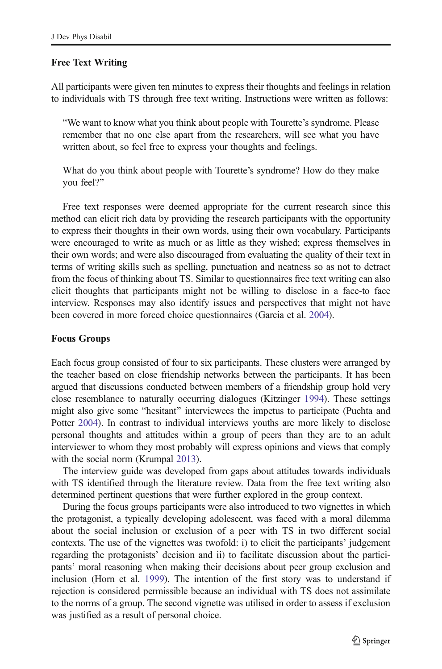#### Free Text Writing

All participants were given ten minutes to express their thoughts and feelings in relation to individuals with TS through free text writing. Instructions were written as follows:

"We want to know what you think about people with Tourette's syndrome. Please remember that no one else apart from the researchers, will see what you have written about, so feel free to express your thoughts and feelings.

What do you think about people with Tourette's syndrome? How do they make you feel?^

Free text responses were deemed appropriate for the current research since this method can elicit rich data by providing the research participants with the opportunity to express their thoughts in their own words, using their own vocabulary. Participants were encouraged to write as much or as little as they wished; express themselves in their own words; and were also discouraged from evaluating the quality of their text in terms of writing skills such as spelling, punctuation and neatness so as not to detract from the focus of thinking about TS. Similar to questionnaires free text writing can also elicit thoughts that participants might not be willing to disclose in a face-to face interview. Responses may also identify issues and perspectives that might not have been covered in more forced choice questionnaires (Garcia et al. [2004](#page-24-0)).

#### Focus Groups

Each focus group consisted of four to six participants. These clusters were arranged by the teacher based on close friendship networks between the participants. It has been argued that discussions conducted between members of a friendship group hold very close resemblance to naturally occurring dialogues (Kitzinger [1994](#page-24-0)). These settings might also give some "hesitant" interviewees the impetus to participate (Puchta and Potter [2004](#page-25-0)). In contrast to individual interviews youths are more likely to disclose personal thoughts and attitudes within a group of peers than they are to an adult interviewer to whom they most probably will express opinions and views that comply with the social norm (Krumpal [2013\)](#page-25-0).

The interview guide was developed from gaps about attitudes towards individuals with TS identified through the literature review. Data from the free text writing also determined pertinent questions that were further explored in the group context.

During the focus groups participants were also introduced to two vignettes in which the protagonist, a typically developing adolescent, was faced with a moral dilemma about the social inclusion or exclusion of a peer with TS in two different social contexts. The use of the vignettes was twofold: i) to elicit the participants' judgement regarding the protagonists' decision and ii) to facilitate discussion about the participants' moral reasoning when making their decisions about peer group exclusion and inclusion (Horn et al. [1999](#page-24-0)). The intention of the first story was to understand if rejection is considered permissible because an individual with TS does not assimilate to the norms of a group. The second vignette was utilised in order to assess if exclusion was justified as a result of personal choice.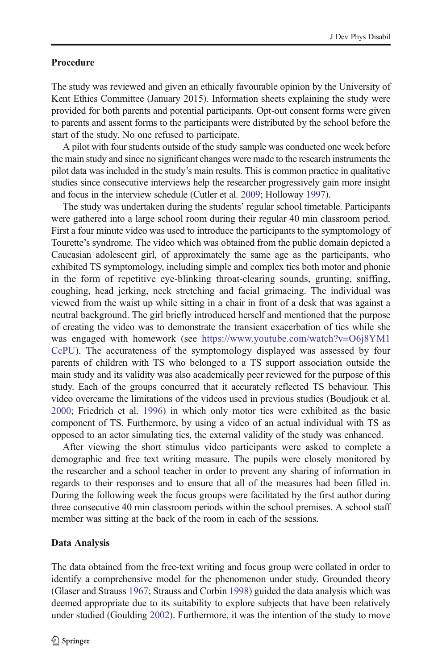#### <span id="page-6-0"></span>Procedure

The study was reviewed and given an ethically favourable opinion by the University of Kent Ethics Committee (January 2015). Information sheets explaining the study were provided for both parents and potential participants. Opt-out consent forms were given to parents and assent forms to the participants were distributed by the school before the start of the study. No one refused to participate.

A pilot with four students outside of the study sample was conducted one week before the main study and since no significant changes were made to the research instruments the pilot data was included in the study's main results. This is common practice in qualitative studies since consecutive interviews help the researcher progressively gain more insight and focus in the interview schedule (Cutler et al. [2009;](#page-23-0) Holloway [1997\)](#page-24-0).

The study was undertaken during the students' regular school timetable. Participants were gathered into a large school room during their regular 40 min classroom period. First a four minute video was used to introduce the participants to the symptomology of Tourette's syndrome. The video which was obtained from the public domain depicted a Caucasian adolescent girl, of approximately the same age as the participants, who exhibited TS symptomology, including simple and complex tics both motor and phonic in the form of repetitive eye-blinking throat-clearing sounds, grunting, sniffing, coughing, head jerking, neck stretching and facial grimacing. The individual was viewed from the waist up while sitting in a chair in front of a desk that was against a neutral background. The girl briefly introduced herself and mentioned that the purpose of creating the video was to demonstrate the transient exacerbation of tics while she was engaged with homework (see [https://www.youtube.com/watch?v=O6j8YM1](https://www.youtube.com/watch?v=O6j8YM1CcPU) [CcPU\)](https://www.youtube.com/watch?v=O6j8YM1CcPU). The accurateness of the symptomology displayed was assessed by four parents of children with TS who belonged to a TS support association outside the main study and its validity was also academically peer reviewed for the purpose of this study. Each of the groups concurred that it accurately reflected TS behaviour. This video overcame the limitations of the videos used in previous studies (Boudjouk et al. [2000;](#page-23-0) Friedrich et al. [1996\)](#page-24-0) in which only motor tics were exhibited as the basic component of TS. Furthermore, by using a video of an actual individual with TS as opposed to an actor simulating tics, the external validity of the study was enhanced.

After viewing the short stimulus video participants were asked to complete a demographic and free text writing measure. The pupils were closely monitored by the researcher and a school teacher in order to prevent any sharing of information in regards to their responses and to ensure that all of the measures had been filled in. During the following week the focus groups were facilitated by the first author during three consecutive 40 min classroom periods within the school premises. A school staff member was sitting at the back of the room in each of the sessions.

#### Data Analysis

The data obtained from the free-text writing and focus group were collated in order to identify a comprehensive model for the phenomenon under study. Grounded theory (Glaser and Strauss [1967](#page-24-0); Strauss and Corbin [1998](#page-25-0)) guided the data analysis which was deemed appropriate due to its suitability to explore subjects that have been relatively under studied (Goulding [2002\)](#page-24-0). Furthermore, it was the intention of the study to move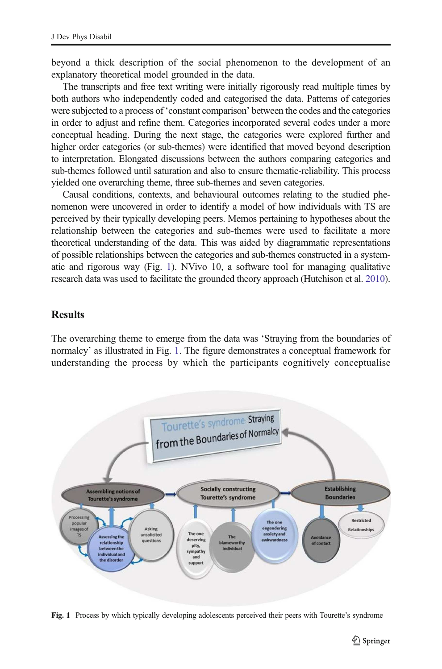beyond a thick description of the social phenomenon to the development of an explanatory theoretical model grounded in the data.

The transcripts and free text writing were initially rigorously read multiple times by both authors who independently coded and categorised the data. Patterns of categories were subjected to a process of 'constant comparison' between the codes and the categories in order to adjust and refine them. Categories incorporated several codes under a more conceptual heading. During the next stage, the categories were explored further and higher order categories (or sub-themes) were identified that moved beyond description to interpretation. Elongated discussions between the authors comparing categories and sub-themes followed until saturation and also to ensure thematic-reliability. This process yielded one overarching theme, three sub-themes and seven categories.

Causal conditions, contexts, and behavioural outcomes relating to the studied phenomenon were uncovered in order to identify a model of how individuals with TS are perceived by their typically developing peers. Memos pertaining to hypotheses about the relationship between the categories and sub-themes were used to facilitate a more theoretical understanding of the data. This was aided by diagrammatic representations of possible relationships between the categories and sub-themes constructed in a systematic and rigorous way (Fig. [1\)](#page-6-0). NVivo 10, a software tool for managing qualitative research data was used to facilitate the grounded theory approach (Hutchison et al. [2010\)](#page-24-0).

#### **Results**

The overarching theme to emerge from the data was 'Straying from the boundaries of normalcy' as illustrated in Fig. [1](#page-6-0). The figure demonstrates a conceptual framework for understanding the process by which the participants cognitively conceptualise



Fig. 1 Process by which typically developing adolescents perceived their peers with Tourette's syndrome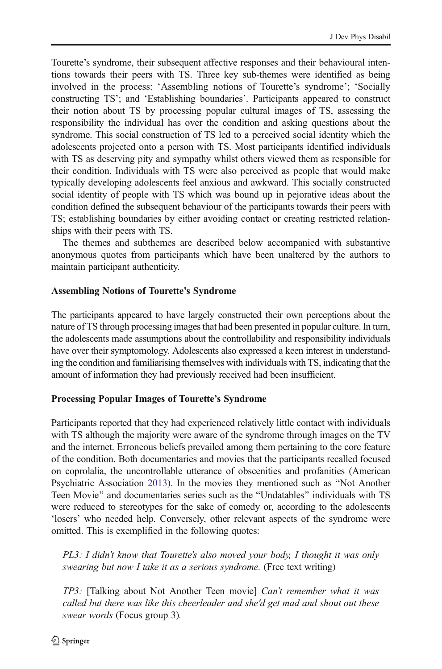Tourette's syndrome, their subsequent affective responses and their behavioural intentions towards their peers with TS. Three key sub-themes were identified as being involved in the process: 'Assembling notions of Tourette's syndrome'; 'Socially constructing TS'; and 'Establishing boundaries'. Participants appeared to construct their notion about TS by processing popular cultural images of TS, assessing the responsibility the individual has over the condition and asking questions about the syndrome. This social construction of TS led to a perceived social identity which the adolescents projected onto a person with TS. Most participants identified individuals with TS as deserving pity and sympathy whilst others viewed them as responsible for their condition. Individuals with TS were also perceived as people that would make typically developing adolescents feel anxious and awkward. This socially constructed social identity of people with TS which was bound up in pejorative ideas about the condition defined the subsequent behaviour of the participants towards their peers with TS; establishing boundaries by either avoiding contact or creating restricted relationships with their peers with TS.

The themes and subthemes are described below accompanied with substantive anonymous quotes from participants which have been unaltered by the authors to maintain participant authenticity.

#### Assembling Notions of Tourette's Syndrome

The participants appeared to have largely constructed their own perceptions about the nature of TS through processing images that had been presented in popular culture. In turn, the adolescents made assumptions about the controllability and responsibility individuals have over their symptomology. Adolescents also expressed a keen interest in understanding the condition and familiarising themselves with individuals with TS, indicating that the amount of information they had previously received had been insufficient.

#### Processing Popular Images of Tourette's Syndrome

Participants reported that they had experienced relatively little contact with individuals with TS although the majority were aware of the syndrome through images on the TV and the internet. Erroneous beliefs prevailed among them pertaining to the core feature of the condition. Both documentaries and movies that the participants recalled focused on coprolalia, the uncontrollable utterance of obscenities and profanities (American Psychiatric Association [2013\)](#page-23-0). In the movies they mentioned such as "Not Another Teen Movie" and documentaries series such as the "Undatables" individuals with TS were reduced to stereotypes for the sake of comedy or, according to the adolescents 'losers' who needed help. Conversely, other relevant aspects of the syndrome were omitted. This is exemplified in the following quotes:

*PL3: I didn*'*t know that Tourette*'*s also moved your body, I thought it was only swearing but now I take it as a serious syndrome.* (Free text writing)

*TP3:* [Talking about Not Another Teen movie] *Can*'*t remember what it was called but there was like this cheerleader and she'd get mad and shout out these swear words* (Focus group 3)*.*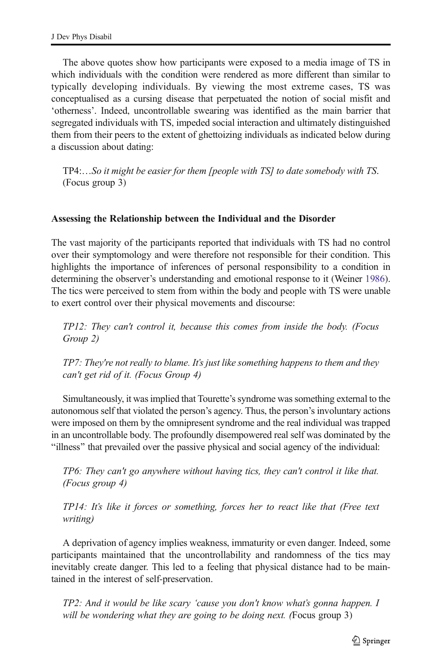The above quotes show how participants were exposed to a media image of TS in which individuals with the condition were rendered as more different than similar to typically developing individuals. By viewing the most extreme cases, TS was conceptualised as a cursing disease that perpetuated the notion of social misfit and 'otherness'. Indeed, uncontrollable swearing was identified as the main barrier that segregated individuals with TS, impeded social interaction and ultimately distinguished them from their peers to the extent of ghettoizing individuals as indicated below during a discussion about dating:

TP4:…*So it might be easier for them [people with TS] to date somebody with TS*. (Focus group 3)

#### Assessing the Relationship between the Individual and the Disorder

The vast majority of the participants reported that individuals with TS had no control over their symptomology and were therefore not responsible for their condition. This highlights the importance of inferences of personal responsibility to a condition in determining the observer's understanding and emotional response to it (Weiner [1986\)](#page-25-0). The tics were perceived to stem from within the body and people with TS were unable to exert control over their physical movements and discourse:

*TP12: They can't control it, because this comes from inside the body. (Focus Group 2)*

*TP7: They're not really to blame. It*'*s just like something happens to them and they can't get rid of it. (Focus Group 4)*

Simultaneously, it was implied that Tourette's syndrome was something external to the autonomous self that violated the person's agency. Thus, the person's involuntary actions were imposed on them by the omnipresent syndrome and the real individual was trapped in an uncontrollable body. The profoundly disempowered real self was dominated by the "illness" that prevailed over the passive physical and social agency of the individual:

*TP6: They can't go anywhere without having tics, they can't control it like that. (Focus group 4)*

*TP14: It*'*s like it forces or something, forces her to react like that (Free text writing)*

A deprivation of agency implies weakness, immaturity or even danger. Indeed, some participants maintained that the uncontrollability and randomness of the tics may inevitably create danger. This led to a feeling that physical distance had to be maintained in the interest of self-preservation.

*TP2: And it would be like scary* '*cause you don't know what*'*s gonna happen. I will be wondering what they are going to be doing next. (*Focus group 3)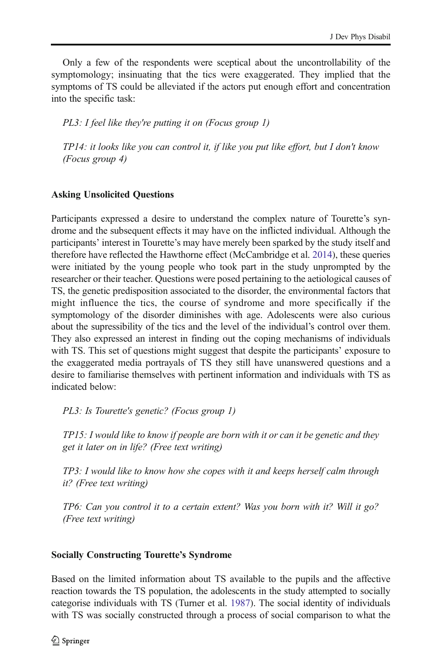Only a few of the respondents were sceptical about the uncontrollability of the symptomology; insinuating that the tics were exaggerated. They implied that the symptoms of TS could be alleviated if the actors put enough effort and concentration into the specific task:

*PL3: I feel like they're putting it on (Focus group 1)*

*TP14: it looks like you can control it, if like you put like effort, but I don't know (Focus group 4)*

#### Asking Unsolicited Questions

Participants expressed a desire to understand the complex nature of Tourette's syndrome and the subsequent effects it may have on the inflicted individual. Although the participants' interest in Tourette's may have merely been sparked by the study itself and therefore have reflected the Hawthorne effect (McCambridge et al. [2014](#page-25-0)), these queries were initiated by the young people who took part in the study unprompted by the researcher or their teacher. Questions were posed pertaining to the aetiological causes of TS, the genetic predisposition associated to the disorder, the environmental factors that might influence the tics, the course of syndrome and more specifically if the symptomology of the disorder diminishes with age. Adolescents were also curious about the supressibility of the tics and the level of the individual's control over them. They also expressed an interest in finding out the coping mechanisms of individuals with TS. This set of questions might suggest that despite the participants' exposure to the exaggerated media portrayals of TS they still have unanswered questions and a desire to familiarise themselves with pertinent information and individuals with TS as indicated below:

*PL3: Is Tourette's genetic? (Focus group 1)*

*TP15: I would like to know if people are born with it or can it be genetic and they get it later on in life? (Free text writing)*

*TP3: I would like to know how she copes with it and keeps herself calm through it? (Free text writing)*

*TP6: Can you control it to a certain extent? Was you born with it? Will it go? (Free text writing)*

#### Socially Constructing Tourette's Syndrome

Based on the limited information about TS available to the pupils and the affective reaction towards the TS population, the adolescents in the study attempted to socially categorise individuals with TS (Turner et al. [1987\)](#page-25-0). The social identity of individuals with TS was socially constructed through a process of social comparison to what the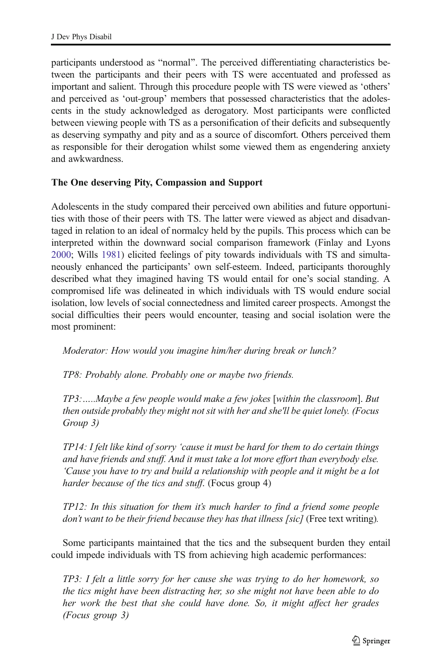participants understood as "normal". The perceived differentiating characteristics between the participants and their peers with TS were accentuated and professed as important and salient. Through this procedure people with TS were viewed as 'others' and perceived as 'out-group' members that possessed characteristics that the adolescents in the study acknowledged as derogatory. Most participants were conflicted between viewing people with TS as a personification of their deficits and subsequently as deserving sympathy and pity and as a source of discomfort. Others perceived them as responsible for their derogation whilst some viewed them as engendering anxiety and awkwardness.

#### The One deserving Pity, Compassion and Support

Adolescents in the study compared their perceived own abilities and future opportunities with those of their peers with TS. The latter were viewed as abject and disadvantaged in relation to an ideal of normalcy held by the pupils. This process which can be interpreted within the downward social comparison framework (Finlay and Lyons [2000;](#page-24-0) Wills [1981](#page-25-0)) elicited feelings of pity towards individuals with TS and simultaneously enhanced the participants' own self-esteem. Indeed, participants thoroughly described what they imagined having TS would entail for one's social standing. A compromised life was delineated in which individuals with TS would endure social isolation, low levels of social connectedness and limited career prospects. Amongst the social difficulties their peers would encounter, teasing and social isolation were the most prominent:

*Moderator: How would you imagine him/her during break or lunch?*

*TP8: Probably alone. Probably one or maybe two friends.*

*TP3:*…*..Maybe a few people would make a few jokes* [*within the classroom*]. *But then outside probably they might not sit with her and she'll be quiet lonely. (Focus Group 3)*

*TP14: I felt like kind of sorry* '*cause it must be hard for them to do certain things and have friends and stuff. And it must take a lot more effort than everybody else.* '*Cause you have to try and build a relationship with people and it might be a lot harder because of the tics and stuff*. (Focus group 4)

*TP12: In this situation for them it*'*s much harder to find a friend some people don*'*t want to be their friend because they has that illness [sic]* (Free text writing)*.*

Some participants maintained that the tics and the subsequent burden they entail could impede individuals with TS from achieving high academic performances:

*TP3: I felt a little sorry for her cause she was trying to do her homework, so the tics might have been distracting her, so she might not have been able to do her work the best that she could have done. So, it might affect her grades (Focus group 3)*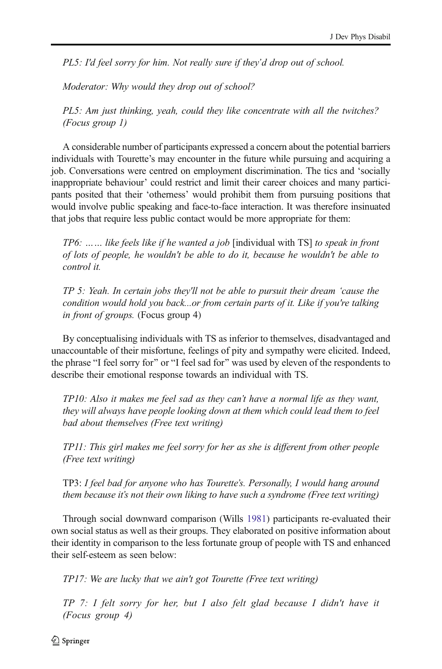*PL5: I'd feel sorry for him. Not really sure if they*'*d drop out of school.*

*Moderator: Why would they drop out of school?*

*PL5: Am just thinking, yeah, could they like concentrate with all the twitches? (Focus group 1)*

A considerable number of participants expressed a concern about the potential barriers individuals with Tourette's may encounter in the future while pursuing and acquiring a job. Conversations were centred on employment discrimination. The tics and 'socially inappropriate behaviour' could restrict and limit their career choices and many participants posited that their 'otherness' would prohibit them from pursuing positions that would involve public speaking and face-to-face interaction. It was therefore insinuated that jobs that require less public contact would be more appropriate for them:

*TP6:* …… *like feels like if he wanted a job* [individual with TS] *to speak in front of lots of people, he wouldn't be able to do it, because he wouldn't be able to control it.*

*TP 5: Yeah. In certain jobs they'll not be able to pursuit their dream* '*cause the condition would hold you back...or from certain parts of it. Like if you're talking in front of groups.* (Focus group 4)

By conceptualising individuals with TS as inferior to themselves, disadvantaged and unaccountable of their misfortune, feelings of pity and sympathy were elicited. Indeed, the phrase "I feel sorry for" or "I feel sad for" was used by eleven of the respondents to describe their emotional response towards an individual with TS.

*TP10: Also it makes me feel sad as they can*'*t have a normal life as they want, they will always have people looking down at them which could lead them to feel bad about themselves (Free text writing)*

*TP11: This girl makes me feel sorry for her as she is different from other people (Free text writing)*

TP3: *I feel bad for anyone who has Tourette*'*s. Personally, I would hang around them because it*'*s not their own liking to have such a syndrome (Free text writing)*

Through social downward comparison (Wills [1981](#page-25-0)) participants re-evaluated their own social status as well as their groups. They elaborated on positive information about their identity in comparison to the less fortunate group of people with TS and enhanced their self-esteem as seen below:

*TP17: We are lucky that we ain't got Tourette (Free text writing)*

*TP 7: I felt sorry for her, but I also felt glad because I didn't have it (Focus group 4)*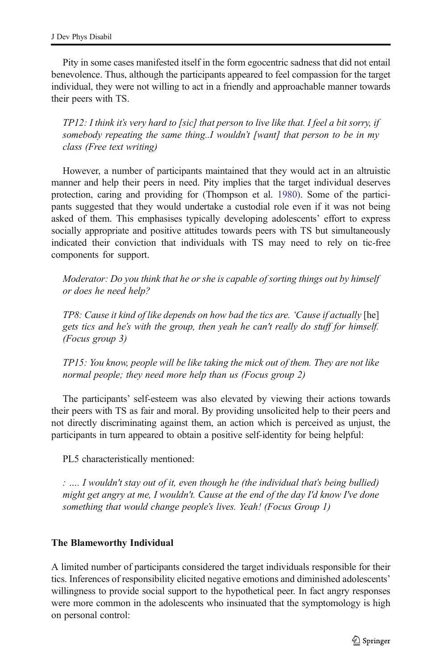Pity in some cases manifested itself in the form egocentric sadness that did not entail benevolence. Thus, although the participants appeared to feel compassion for the target individual, they were not willing to act in a friendly and approachable manner towards their peers with TS.

*TP12: I think it*'*s very hard to [sic] that person to live like that. I feel a bit sorry, if somebody repeating the same thing..I wouldn*'*t [want] that person to be in my class (Free text writing)*

However, a number of participants maintained that they would act in an altruistic manner and help their peers in need. Pity implies that the target individual deserves protection, caring and providing for (Thompson et al. [1980](#page-25-0)). Some of the participants suggested that they would undertake a custodial role even if it was not being asked of them. This emphasises typically developing adolescents' effort to express socially appropriate and positive attitudes towards peers with TS but simultaneously indicated their conviction that individuals with TS may need to rely on tic-free components for support.

*Moderator: Do you think that he or she is capable of sorting things out by himself or does he need help?*

*TP8: Cause it kind of like depends on how bad the tics are.* '*Cause if actually* [he] *gets tics and he*'*s with the group, then yeah he can't really do stuff for himself. (Focus group 3)*

*TP15: You know, people will be like taking the mick out of them. They are not like normal people; they need more help than us (Focus group 2)*

The participants' self-esteem was also elevated by viewing their actions towards their peers with TS as fair and moral. By providing unsolicited help to their peers and not directly discriminating against them, an action which is perceived as unjust, the participants in turn appeared to obtain a positive self-identity for being helpful:

PL5 characteristically mentioned:

*:* …*. I wouldn't stay out of it, even though he (the individual that*'*s being bullied) might get angry at me, I wouldn't. Cause at the end of the day I'd know I've done something that would change people*'*s lives. Yeah! (Focus Group 1)*

#### The Blameworthy Individual

A limited number of participants considered the target individuals responsible for their tics. Inferences of responsibility elicited negative emotions and diminished adolescents' willingness to provide social support to the hypothetical peer. In fact angry responses were more common in the adolescents who insinuated that the symptomology is high on personal control: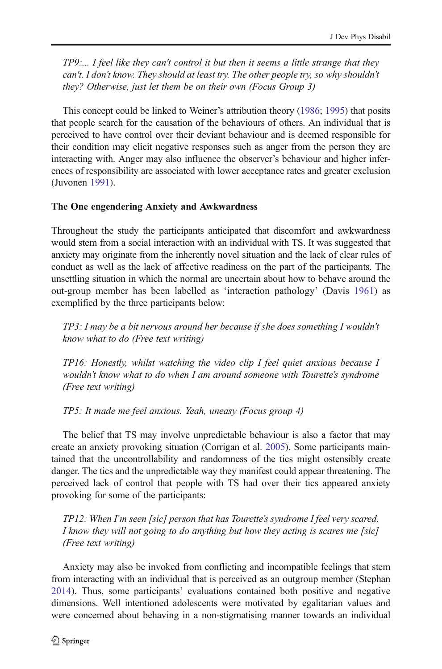*TP9:... I feel like they can't control it but then it seems a little strange that they can't. I don*'*t know. They should at least try. The other people try, so why shouldn*'*t they? Otherwise, just let them be on their own (Focus Group 3)*

This concept could be linked to Weiner's attribution theory [\(1986](#page-25-0); [1995\)](#page-25-0) that posits that people search for the causation of the behaviours of others. An individual that is perceived to have control over their deviant behaviour and is deemed responsible for their condition may elicit negative responses such as anger from the person they are interacting with. Anger may also influence the observer's behaviour and higher inferences of responsibility are associated with lower acceptance rates and greater exclusion (Juvonen [1991](#page-24-0)).

#### The One engendering Anxiety and Awkwardness

Throughout the study the participants anticipated that discomfort and awkwardness would stem from a social interaction with an individual with TS. It was suggested that anxiety may originate from the inherently novel situation and the lack of clear rules of conduct as well as the lack of affective readiness on the part of the participants. The unsettling situation in which the normal are uncertain about how to behave around the out-group member has been labelled as 'interaction pathology' (Davis [1961](#page-23-0)) as exemplified by the three participants below:

*TP3: I may be a bit nervous around her because if she does something I wouldn*'*t know what to do (Free text writing)*

*TP16: Honestly, whilst watching the video clip I feel quiet anxious because I wouldn*'*t know what to do when I am around someone with Tourette*'*s syndrome (Free text writing)*

*TP5: It made me feel anxious. Yeah, uneasy (Focus group 4)*

The belief that TS may involve unpredictable behaviour is also a factor that may create an anxiety provoking situation (Corrigan et al. [2005\)](#page-23-0). Some participants maintained that the uncontrollability and randomness of the tics might ostensibly create danger. The tics and the unpredictable way they manifest could appear threatening. The perceived lack of control that people with TS had over their tics appeared anxiety provoking for some of the participants:

*TP12: When I*'*m seen [sic] person that has Tourette*'*s syndrome I feel very scared. I know they will not going to do anything but how they acting is scares me [sic] (Free text writing)*

Anxiety may also be invoked from conflicting and incompatible feelings that stem from interacting with an individual that is perceived as an outgroup member (Stephan [2014\)](#page-25-0). Thus, some participants' evaluations contained both positive and negative dimensions. Well intentioned adolescents were motivated by egalitarian values and were concerned about behaving in a non-stigmatising manner towards an individual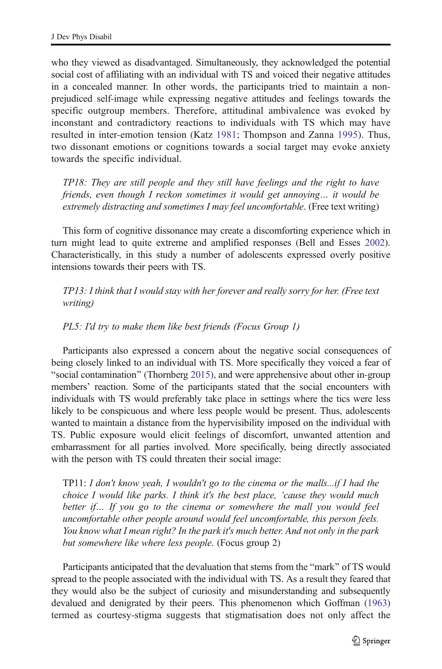who they viewed as disadvantaged. Simultaneously, they acknowledged the potential social cost of affiliating with an individual with TS and voiced their negative attitudes in a concealed manner. In other words, the participants tried to maintain a nonprejudiced self-image while expressing negative attitudes and feelings towards the specific outgroup members. Therefore, attitudinal ambivalence was evoked by inconstant and contradictory reactions to individuals with TS which may have resulted in inter-emotion tension (Katz [1981;](#page-24-0) Thompson and Zanna [1995](#page-25-0)). Thus, two dissonant emotions or cognitions towards a social target may evoke anxiety towards the specific individual.

*TP18: They are still people and they still have feelings and the right to have friends, even though I reckon sometimes it would get annoying*… *it would be extremely distracting and sometimes I may feel uncomfortable*. (Free text writing)

This form of cognitive dissonance may create a discomforting experience which in turn might lead to quite extreme and amplified responses (Bell and Esses [2002\)](#page-23-0). Characteristically, in this study a number of adolescents expressed overly positive intensions towards their peers with TS.

*TP13: I think that I would stay with her forever and really sorry for her. (Free text writing)*

*PL5: I'd try to make them like best friends (Focus Group 1)*

Participants also expressed a concern about the negative social consequences of being closely linked to an individual with TS. More specifically they voiced a fear of "social contamination" (Thornberg [2015](#page-25-0)), and were apprehensive about other in-group members' reaction. Some of the participants stated that the social encounters with individuals with TS would preferably take place in settings where the tics were less likely to be conspicuous and where less people would be present. Thus, adolescents wanted to maintain a distance from the hypervisibility imposed on the individual with TS. Public exposure would elicit feelings of discomfort, unwanted attention and embarrassment for all parties involved. More specifically, being directly associated with the person with TS could threaten their social image:

TP11: *I don't know yeah, I wouldn't go to the cinema or the malls...if I had the choice I would like parks. I think it's the best place,* '*cause they would much better if*… *If you go to the cinema or somewhere the mall you would feel uncomfortable other people around would feel uncomfortable, this person feels. You know what I mean right? In the park it's much better. And not only in the park but somewhere like where less people*. (Focus group 2)

Participants anticipated that the devaluation that stems from the "mark" of TS would spread to the people associated with the individual with TS. As a result they feared that they would also be the subject of curiosity and misunderstanding and subsequently devalued and denigrated by their peers. This phenomenon which Goffman [\(1963](#page-24-0)) termed as courtesy-stigma suggests that stigmatisation does not only affect the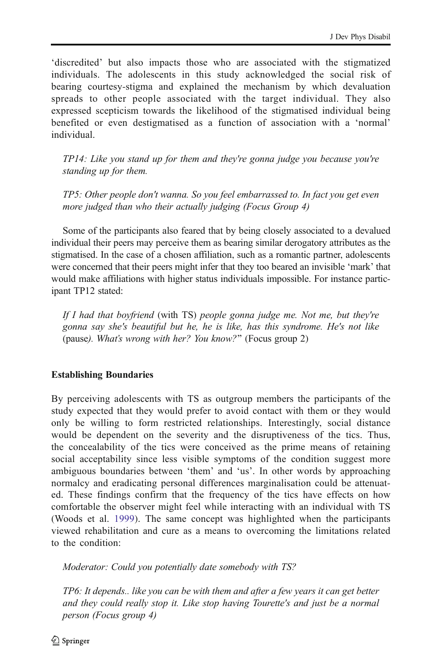'discredited' but also impacts those who are associated with the stigmatized individuals. The adolescents in this study acknowledged the social risk of bearing courtesy-stigma and explained the mechanism by which devaluation spreads to other people associated with the target individual. They also expressed scepticism towards the likelihood of the stigmatised individual being benefited or even destigmatised as a function of association with a 'normal' individual.

*TP14: Like you stand up for them and they're gonna judge you because you're standing up for them.*

*TP5: Other people don't wanna. So you feel embarrassed to. In fact you get even more judged than who their actually judging (Focus Group 4)*

Some of the participants also feared that by being closely associated to a devalued individual their peers may perceive them as bearing similar derogatory attributes as the stigmatised. In the case of a chosen affiliation, such as a romantic partner, adolescents were concerned that their peers might infer that they too beared an invisible 'mark' that would make affiliations with higher status individuals impossible. For instance participant TP12 stated:

*If I had that boyfriend* (with TS) *people gonna judge me. Not me, but they're gonna say she's beautiful but he, he is like, has this syndrome. He's not like* (pause*). What*'*s wrong with her? You know?*^ (Focus group 2)

#### Establishing Boundaries

By perceiving adolescents with TS as outgroup members the participants of the study expected that they would prefer to avoid contact with them or they would only be willing to form restricted relationships. Interestingly, social distance would be dependent on the severity and the disruptiveness of the tics. Thus, the concealability of the tics were conceived as the prime means of retaining social acceptability since less visible symptoms of the condition suggest more ambiguous boundaries between 'them' and 'us'. In other words by approaching normalcy and eradicating personal differences marginalisation could be attenuated. These findings confirm that the frequency of the tics have effects on how comfortable the observer might feel while interacting with an individual with TS (Woods et al. [1999\)](#page-26-0). The same concept was highlighted when the participants viewed rehabilitation and cure as a means to overcoming the limitations related to the condition:

*Moderator: Could you potentially date somebody with TS?*

*TP6: It depends.. like you can be with them and after a few years it can get better and they could really stop it. Like stop having Tourette's and just be a normal person (Focus group 4)*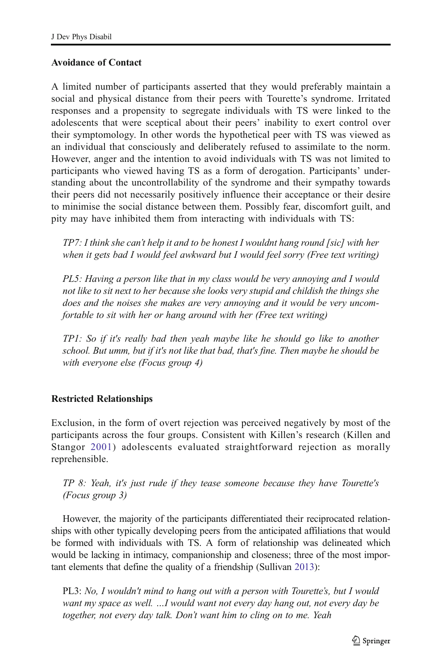#### Avoidance of Contact

A limited number of participants asserted that they would preferably maintain a social and physical distance from their peers with Tourette's syndrome. Irritated responses and a propensity to segregate individuals with TS were linked to the adolescents that were sceptical about their peers' inability to exert control over their symptomology. In other words the hypothetical peer with TS was viewed as an individual that consciously and deliberately refused to assimilate to the norm. However, anger and the intention to avoid individuals with TS was not limited to participants who viewed having TS as a form of derogation. Participants' understanding about the uncontrollability of the syndrome and their sympathy towards their peers did not necessarily positively influence their acceptance or their desire to minimise the social distance between them. Possibly fear, discomfort guilt, and pity may have inhibited them from interacting with individuals with TS:

*TP7: I think she can*'*t help it and to be honest I wouldnt hang round [sic] with her when it gets bad I would feel awkward but I would feel sorry (Free text writing)*

*PL5: Having a person like that in my class would be very annoying and I would not like to sit next to her because she looks very stupid and childish the things she does and the noises she makes are very annoying and it would be very uncomfortable to sit with her or hang around with her (Free text writing)*

*TP1: So if it's really bad then yeah maybe like he should go like to another school. But umm, but if it's not like that bad, that's fine. Then maybe he should be with everyone else (Focus group 4)*

#### Restricted Relationships

Exclusion, in the form of overt rejection was perceived negatively by most of the participants across the four groups. Consistent with Killen's research (Killen and Stangor [2001](#page-24-0)) adolescents evaluated straightforward rejection as morally reprehensible.

*TP 8: Yeah, it's just rude if they tease someone because they have Tourette's (Focus group 3)*

However, the majority of the participants differentiated their reciprocated relationships with other typically developing peers from the anticipated affiliations that would be formed with individuals with TS. A form of relationship was delineated which would be lacking in intimacy, companionship and closeness; three of the most important elements that define the quality of a friendship (Sullivan [2013\)](#page-25-0):

PL3: *No, I wouldn't mind to hang out with a person with Tourette*'*s, but I would want my space as well.* …*I would want not every day hang out, not every day be together, not every day talk. Don*'*t want him to cling on to me. Yeah*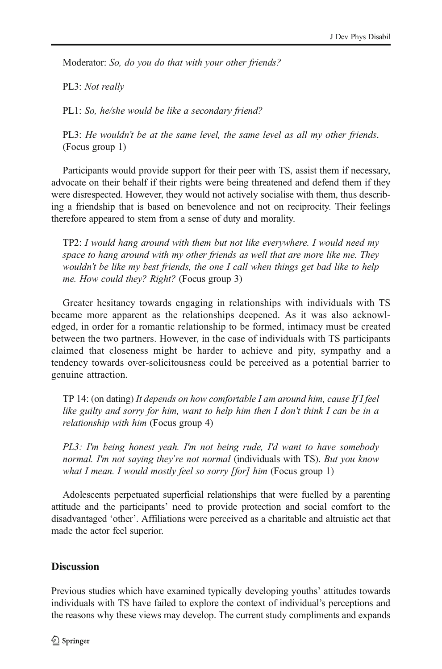Moderator: *So, do you do that with your other friends?*

PL3: *Not really*

PL1: *So, he/she would be like a secondary friend?*

PL3: *He wouldn*'*t be at the same level, the same level as all my other friends*. (Focus group 1)

Participants would provide support for their peer with TS, assist them if necessary, advocate on their behalf if their rights were being threatened and defend them if they were disrespected. However, they would not actively socialise with them, thus describing a friendship that is based on benevolence and not on reciprocity. Their feelings therefore appeared to stem from a sense of duty and morality.

TP2: *I would hang around with them but not like everywhere. I would need my space to hang around with my other friends as well that are more like me. They wouldn*'*t be like my best friends, the one I call when things get bad like to help me. How could they? Right?* (Focus group 3)

Greater hesitancy towards engaging in relationships with individuals with TS became more apparent as the relationships deepened. As it was also acknowledged, in order for a romantic relationship to be formed, intimacy must be created between the two partners. However, in the case of individuals with TS participants claimed that closeness might be harder to achieve and pity, sympathy and a tendency towards over-solicitousness could be perceived as a potential barrier to genuine attraction.

TP 14: (on dating) *It depends on how comfortable I am around him, cause If I feel like guilty and sorry for him, want to help him then I don't think I can be in a relationship with him* (Focus group 4)

*PL3: I'm being honest yeah. I'm not being rude, I'd want to have somebody normal. I'm not saying they*'*re not normal* (individuals with TS). *But you know what I mean. I would mostly feel so sorry [for] him* (Focus group 1)

Adolescents perpetuated superficial relationships that were fuelled by a parenting attitude and the participants' need to provide protection and social comfort to the disadvantaged 'other'. Affiliations were perceived as a charitable and altruistic act that made the actor feel superior.

#### **Discussion**

Previous studies which have examined typically developing youths' attitudes towards individuals with TS have failed to explore the context of individual's perceptions and the reasons why these views may develop. The current study compliments and expands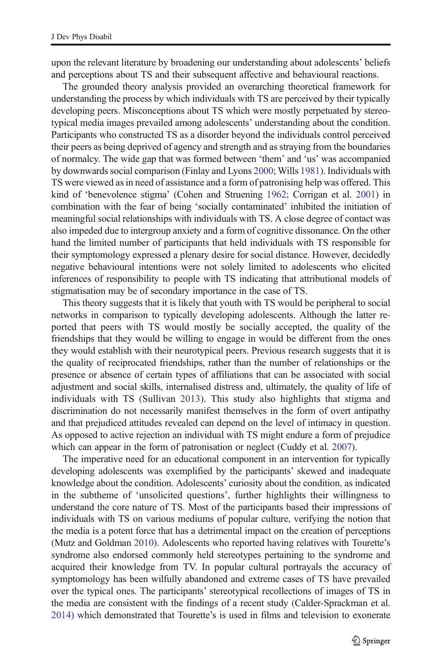upon the relevant literature by broadening our understanding about adolescents' beliefs and perceptions about TS and their subsequent affective and behavioural reactions.

The grounded theory analysis provided an overarching theoretical framework for understanding the process by which individuals with TS are perceived by their typically developing peers. Misconceptions about TS which were mostly perpetuated by stereotypical media images prevailed among adolescents' understanding about the condition. Participants who constructed TS as a disorder beyond the individuals control perceived their peers as being deprived of agency and strength and as straying from the boundaries of normalcy. The wide gap that was formed between 'them' and 'us' was accompanied by downwards social comparison (Finlay and Lyons [2000;](#page-24-0) Wills [1981](#page-25-0)). Individuals with TS were viewed as in need of assistance and a form of patronising help was offered. This kind of 'benevolence stigma' (Cohen and Struening [1962;](#page-23-0) Corrigan et al. [2001\)](#page-23-0) in combination with the fear of being 'socially contaminated' inhibited the initiation of meaningful social relationships with individuals with TS. A close degree of contact was also impeded due to intergroup anxiety and a form of cognitive dissonance. On the other hand the limited number of participants that held individuals with TS responsible for their symptomology expressed a plenary desire for social distance. However, decidedly negative behavioural intentions were not solely limited to adolescents who elicited inferences of responsibility to people with TS indicating that attributional models of stigmatisation may be of secondary importance in the case of TS.

This theory suggests that it is likely that youth with TS would be peripheral to social networks in comparison to typically developing adolescents. Although the latter reported that peers with TS would mostly be socially accepted, the quality of the friendships that they would be willing to engage in would be different from the ones they would establish with their neurotypical peers. Previous research suggests that it is the quality of reciprocated friendships, rather than the number of relationships or the presence or absence of certain types of affiliations that can be associated with social adjustment and social skills, internalised distress and, ultimately, the quality of life of individuals with TS (Sullivan [2013](#page-25-0)). This study also highlights that stigma and discrimination do not necessarily manifest themselves in the form of overt antipathy and that prejudiced attitudes revealed can depend on the level of intimacy in question. As opposed to active rejection an individual with TS might endure a form of prejudice which can appear in the form of patronisation or neglect (Cuddy et al. [2007\)](#page-23-0).

The imperative need for an educational component in an intervention for typically developing adolescents was exemplified by the participants' skewed and inadequate knowledge about the condition. Adolescents' curiosity about the condition, as indicated in the subtheme of 'unsolicited questions', further highlights their willingness to understand the core nature of TS. Most of the participants based their impressions of individuals with TS on various mediums of popular culture, verifying the notion that the media is a potent force that has a detrimental impact on the creation of perceptions (Mutz and Goldman [2010\)](#page-25-0). Adolescents who reported having relatives with Tourette's syndrome also endorsed commonly held stereotypes pertaining to the syndrome and acquired their knowledge from TV. In popular cultural portrayals the accuracy of symptomology has been wilfully abandoned and extreme cases of TS have prevailed over the typical ones. The participants' stereotypical recollections of images of TS in the media are consistent with the findings of a recent study (Calder-Sprackman et al. [2014\)](#page-23-0) which demonstrated that Tourette's is used in films and television to exonerate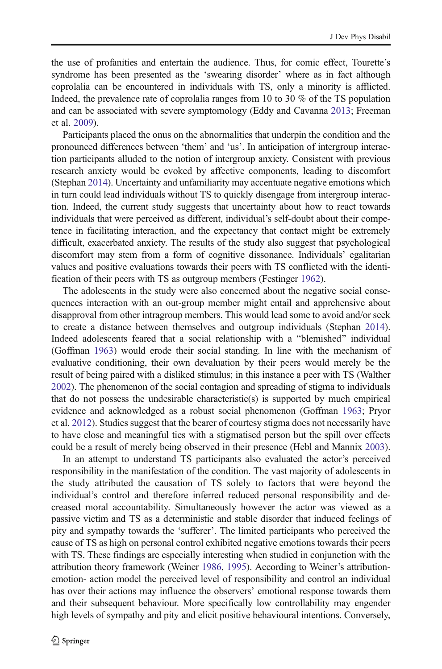the use of profanities and entertain the audience. Thus, for comic effect, Tourette's syndrome has been presented as the 'swearing disorder' where as in fact although coprolalia can be encountered in individuals with TS, only a minority is afflicted. Indeed, the prevalence rate of coprolalia ranges from 10 to 30 % of the TS population and can be associated with severe symptomology (Eddy and Cavanna [2013;](#page-24-0) Freeman et al. [2009\)](#page-24-0).

Participants placed the onus on the abnormalities that underpin the condition and the pronounced differences between 'them' and 'us'. In anticipation of intergroup interaction participants alluded to the notion of intergroup anxiety. Consistent with previous research anxiety would be evoked by affective components, leading to discomfort (Stephan [2014](#page-25-0)). Uncertainty and unfamiliarity may accentuate negative emotions which in turn could lead individuals without TS to quickly disengage from intergroup interaction. Indeed, the current study suggests that uncertainty about how to react towards individuals that were perceived as different, individual's self-doubt about their competence in facilitating interaction, and the expectancy that contact might be extremely difficult, exacerbated anxiety. The results of the study also suggest that psychological discomfort may stem from a form of cognitive dissonance. Individuals' egalitarian values and positive evaluations towards their peers with TS conflicted with the identification of their peers with TS as outgroup members (Festinger [1962\)](#page-24-0).

The adolescents in the study were also concerned about the negative social consequences interaction with an out-group member might entail and apprehensive about disapproval from other intragroup members. This would lead some to avoid and/or seek to create a distance between themselves and outgroup individuals (Stephan [2014\)](#page-25-0). Indeed adolescents feared that a social relationship with a "blemished" individual (Goffman [1963\)](#page-24-0) would erode their social standing. In line with the mechanism of evaluative conditioning, their own devaluation by their peers would merely be the result of being paired with a disliked stimulus; in this instance a peer with TS (Walther [2002\)](#page-25-0). The phenomenon of the social contagion and spreading of stigma to individuals that do not possess the undesirable characteristic(s) is supported by much empirical evidence and acknowledged as a robust social phenomenon (Goffman [1963;](#page-24-0) Pryor et al. [2012](#page-25-0)). Studies suggest that the bearer of courtesy stigma does not necessarily have to have close and meaningful ties with a stigmatised person but the spill over effects could be a result of merely being observed in their presence (Hebl and Mannix [2003\)](#page-24-0).

In an attempt to understand TS participants also evaluated the actor's perceived responsibility in the manifestation of the condition. The vast majority of adolescents in the study attributed the causation of TS solely to factors that were beyond the individual's control and therefore inferred reduced personal responsibility and decreased moral accountability. Simultaneously however the actor was viewed as a passive victim and TS as a deterministic and stable disorder that induced feelings of pity and sympathy towards the 'sufferer'. The limited participants who perceived the cause of TS as high on personal control exhibited negative emotions towards their peers with TS. These findings are especially interesting when studied in conjunction with the attribution theory framework (Weiner [1986](#page-25-0), [1995](#page-25-0)). According to Weiner's attributionemotion- action model the perceived level of responsibility and control an individual has over their actions may influence the observers' emotional response towards them and their subsequent behaviour. More specifically low controllability may engender high levels of sympathy and pity and elicit positive behavioural intentions. Conversely,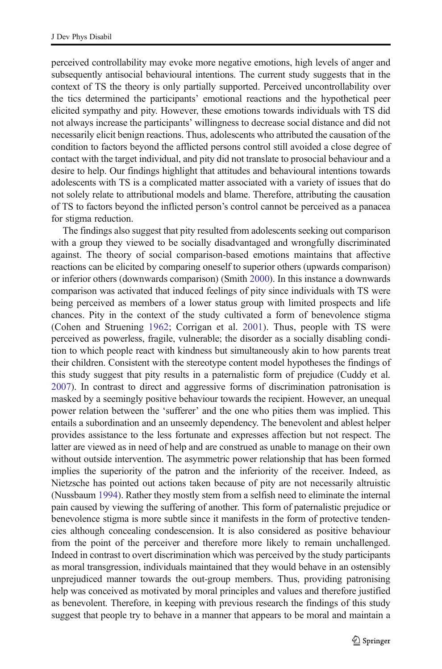perceived controllability may evoke more negative emotions, high levels of anger and subsequently antisocial behavioural intentions. The current study suggests that in the context of TS the theory is only partially supported. Perceived uncontrollability over the tics determined the participants' emotional reactions and the hypothetical peer elicited sympathy and pity. However, these emotions towards individuals with TS did not always increase the participants' willingness to decrease social distance and did not necessarily elicit benign reactions. Thus, adolescents who attributed the causation of the condition to factors beyond the afflicted persons control still avoided a close degree of contact with the target individual, and pity did not translate to prosocial behaviour and a desire to help. Our findings highlight that attitudes and behavioural intentions towards adolescents with TS is a complicated matter associated with a variety of issues that do not solely relate to attributional models and blame. Therefore, attributing the causation of TS to factors beyond the inflicted person's control cannot be perceived as a panacea for stigma reduction.

The findings also suggest that pity resulted from adolescents seeking out comparison with a group they viewed to be socially disadvantaged and wrongfully discriminated against. The theory of social comparison-based emotions maintains that affective reactions can be elicited by comparing oneself to superior others (upwards comparison) or inferior others (downwards comparison) (Smith [2000\)](#page-25-0). In this instance a downwards comparison was activated that induced feelings of pity since individuals with TS were being perceived as members of a lower status group with limited prospects and life chances. Pity in the context of the study cultivated a form of benevolence stigma (Cohen and Struening [1962;](#page-23-0) Corrigan et al. [2001\)](#page-23-0). Thus, people with TS were perceived as powerless, fragile, vulnerable; the disorder as a socially disabling condition to which people react with kindness but simultaneously akin to how parents treat their children. Consistent with the stereotype content model hypotheses the findings of this study suggest that pity results in a paternalistic form of prejudice (Cuddy et al. [2007\)](#page-23-0). In contrast to direct and aggressive forms of discrimination patronisation is masked by a seemingly positive behaviour towards the recipient. However, an unequal power relation between the 'sufferer' and the one who pities them was implied. This entails a subordination and an unseemly dependency. The benevolent and ablest helper provides assistance to the less fortunate and expresses affection but not respect. The latter are viewed as in need of help and are construed as unable to manage on their own without outside intervention. The asymmetric power relationship that has been formed implies the superiority of the patron and the inferiority of the receiver. Indeed, as Nietzsche has pointed out actions taken because of pity are not necessarily altruistic (Nussbaum [1994](#page-25-0)). Rather they mostly stem from a selfish need to eliminate the internal pain caused by viewing the suffering of another. This form of paternalistic prejudice or benevolence stigma is more subtle since it manifests in the form of protective tendencies although concealing condescension. It is also considered as positive behaviour from the point of the perceiver and therefore more likely to remain unchallenged. Indeed in contrast to overt discrimination which was perceived by the study participants as moral transgression, individuals maintained that they would behave in an ostensibly unprejudiced manner towards the out-group members. Thus, providing patronising help was conceived as motivated by moral principles and values and therefore justified as benevolent. Therefore, in keeping with previous research the findings of this study suggest that people try to behave in a manner that appears to be moral and maintain a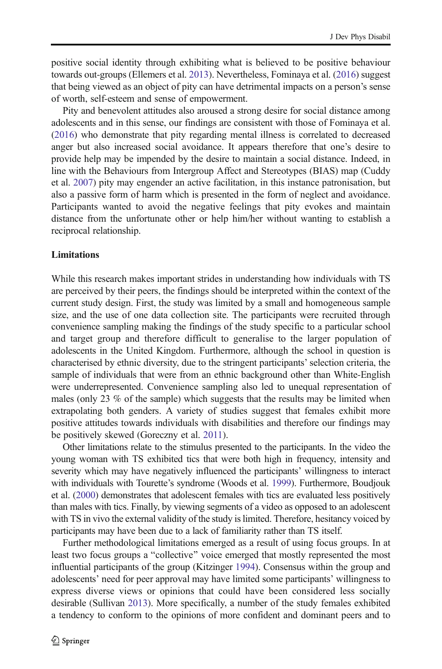positive social identity through exhibiting what is believed to be positive behaviour towards out-groups (Ellemers et al. [2013\)](#page-24-0). Nevertheless, Fominaya et al. [\(2016\)](#page-24-0) suggest that being viewed as an object of pity can have detrimental impacts on a person's sense of worth, self-esteem and sense of empowerment.

Pity and benevolent attitudes also aroused a strong desire for social distance among adolescents and in this sense, our findings are consistent with those of Fominaya et al. [\(2016\)](#page-24-0) who demonstrate that pity regarding mental illness is correlated to decreased anger but also increased social avoidance. It appears therefore that one's desire to provide help may be impended by the desire to maintain a social distance. Indeed, in line with the Behaviours from Intergroup Affect and Stereotypes (BIAS) map (Cuddy et al. [2007](#page-23-0)) pity may engender an active facilitation, in this instance patronisation, but also a passive form of harm which is presented in the form of neglect and avoidance. Participants wanted to avoid the negative feelings that pity evokes and maintain distance from the unfortunate other or help him/her without wanting to establish a reciprocal relationship.

#### **Limitations**

While this research makes important strides in understanding how individuals with TS are perceived by their peers, the findings should be interpreted within the context of the current study design. First, the study was limited by a small and homogeneous sample size, and the use of one data collection site. The participants were recruited through convenience sampling making the findings of the study specific to a particular school and target group and therefore difficult to generalise to the larger population of adolescents in the United Kingdom. Furthermore, although the school in question is characterised by ethnic diversity, due to the stringent participants' selection criteria, the sample of individuals that were from an ethnic background other than White-English were underrepresented. Convenience sampling also led to unequal representation of males (only 23 % of the sample) which suggests that the results may be limited when extrapolating both genders. A variety of studies suggest that females exhibit more positive attitudes towards individuals with disabilities and therefore our findings may be positively skewed (Goreczny et al. [2011](#page-24-0)).

Other limitations relate to the stimulus presented to the participants. In the video the young woman with TS exhibited tics that were both high in frequency, intensity and severity which may have negatively influenced the participants' willingness to interact with individuals with Tourette's syndrome (Woods et al. [1999\)](#page-26-0). Furthermore, Boudjouk et al. ([2000\)](#page-23-0) demonstrates that adolescent females with tics are evaluated less positively than males with tics. Finally, by viewing segments of a video as opposed to an adolescent with TS in vivo the external validity of the study is limited. Therefore, hesitancy voiced by participants may have been due to a lack of familiarity rather than TS itself.

Further methodological limitations emerged as a result of using focus groups. In at least two focus groups a "collective" voice emerged that mostly represented the most influential participants of the group (Kitzinger [1994\)](#page-24-0). Consensus within the group and adolescents' need for peer approval may have limited some participants' willingness to express diverse views or opinions that could have been considered less socially desirable (Sullivan [2013\)](#page-25-0). More specifically, a number of the study females exhibited a tendency to conform to the opinions of more confident and dominant peers and to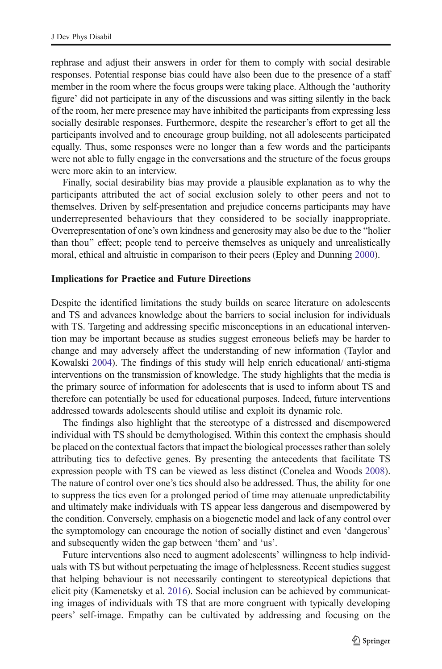<span id="page-23-0"></span>rephrase and adjust their answers in order for them to comply with social desirable responses. Potential response bias could have also been due to the presence of a staff member in the room where the focus groups were taking place. Although the 'authority figure' did not participate in any of the discussions and was sitting silently in the back of the room, her mere presence may have inhibited the participants from expressing less socially desirable responses. Furthermore, despite the researcher's effort to get all the participants involved and to encourage group building, not all adolescents participated equally. Thus, some responses were no longer than a few words and the participants were not able to fully engage in the conversations and the structure of the focus groups were more akin to an interview.

Finally, social desirability bias may provide a plausible explanation as to why the participants attributed the act of social exclusion solely to other peers and not to themselves. Driven by self-presentation and prejudice concerns participants may have underrepresented behaviours that they considered to be socially inappropriate. Overrepresentation of one's own kindness and generosity may also be due to the "holier" than thou^ effect; people tend to perceive themselves as uniquely and unrealistically moral, ethical and altruistic in comparison to their peers (Epley and Dunning [2000](#page-24-0)).

#### Implications for Practice and Future Directions

Despite the identified limitations the study builds on scarce literature on adolescents and TS and advances knowledge about the barriers to social inclusion for individuals with TS. Targeting and addressing specific misconceptions in an educational intervention may be important because as studies suggest erroneous beliefs may be harder to change and may adversely affect the understanding of new information (Taylor and Kowalski [2004](#page-25-0)). The findings of this study will help enrich educational/ anti-stigma interventions on the transmission of knowledge. The study highlights that the media is the primary source of information for adolescents that is used to inform about TS and therefore can potentially be used for educational purposes. Indeed, future interventions addressed towards adolescents should utilise and exploit its dynamic role.

The findings also highlight that the stereotype of a distressed and disempowered individual with TS should be demythologised. Within this context the emphasis should be placed on the contextual factors that impact the biological processes rather than solely attributing tics to defective genes. By presenting the antecedents that facilitate TS expression people with TS can be viewed as less distinct (Conelea and Woods 2008). The nature of control over one's tics should also be addressed. Thus, the ability for one to suppress the tics even for a prolonged period of time may attenuate unpredictability and ultimately make individuals with TS appear less dangerous and disempowered by the condition. Conversely, emphasis on a biogenetic model and lack of any control over the symptomology can encourage the notion of socially distinct and even 'dangerous' and subsequently widen the gap between 'them' and 'us'.

Future interventions also need to augment adolescents' willingness to help individuals with TS but without perpetuating the image of helplessness. Recent studies suggest that helping behaviour is not necessarily contingent to stereotypical depictions that elicit pity (Kamenetsky et al. [2016](#page-24-0)). Social inclusion can be achieved by communicating images of individuals with TS that are more congruent with typically developing peers' self-image. Empathy can be cultivated by addressing and focusing on the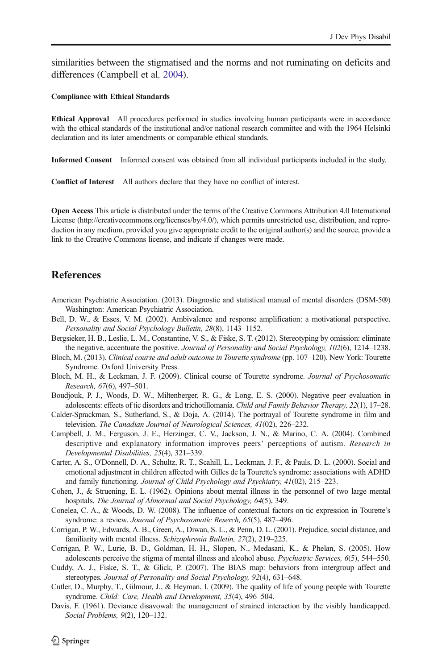<span id="page-24-0"></span>similarities between the stigmatised and the norms and not ruminating on deficits and differences (Campbell et al. [2004\)](#page-23-0).

#### Compliance with Ethical Standards

Ethical Approval All procedures performed in studies involving human participants were in accordance with the ethical standards of the institutional and/or national research committee and with the 1964 Helsinki declaration and its later amendments or comparable ethical standards.

Informed Consent Informed consent was obtained from all individual participants included in the study.

Conflict of Interest All authors declare that they have no conflict of interest.

Open Access This article is distributed under the terms of the Creative Commons Attribution 4.0 International License (http://creativecommons.org/licenses/by/4.0/), which permits unrestricted use, distribution, and reproduction in any medium, provided you give appropriate credit to the original author(s) and the source, provide a link to the Creative Commons license, and indicate if changes were made.

#### **References**

- American Psychiatric Association. (2013). Diagnostic and statistical manual of mental disorders (DSM-5®) Washington: American Psychiatric Association.
- Bell, D. W., & Esses, V. M. (2002). Ambivalence and response amplification: a motivational perspective. *Personality and Social Psychology Bulletin, 28*(8), 1143–1152.
- Bergsieker, H. B., Leslie, L. M., Constantine, V. S., & Fiske, S. T. (2012). Stereotyping by omission: eliminate the negative, accentuate the positive. *Journal of Personality and Social Psychology, 102*(6), 1214–1238.
- Bloch, M. (2013). *Clinical course and adult outcome in Tourette syndrome* (pp. 107–120). New York: Tourette Syndrome. Oxford University Press.
- Bloch, M. H., & Leckman, J. F. (2009). Clinical course of Tourette syndrome. *Journal of Psychosomatic Research, 67*(6), 497–501.
- Boudjouk, P. J., Woods, D. W., Miltenberger, R. G., & Long, E. S. (2000). Negative peer evaluation in adolescents: effects of tic disorders and trichotillomania. *Child and Family Behavior Therapy, 22*(1), 17–28.
- Calder-Sprackman, S., Sutherland, S., & Doja, A. (2014). The portrayal of Tourette syndrome in film and television. *The Canadian Journal of Neurological Sciences, 41*(02), 226–232.
- Campbell, J. M., Ferguson, J. E., Herzinger, C. V., Jackson, J. N., & Marino, C. A. (2004). Combined descriptive and explanatory information improves peers' perceptions of autism. *Research in Developmental Disabilities, 25*(4), 321–339.
- Carter, A. S., O'Donnell, D. A., Schultz, R. T., Scahill, L., Leckman, J. F., & Pauls, D. L. (2000). Social and emotional adjustment in children affected with Gilles de la Tourette's syndrome: associations with ADHD and family functioning. *Journal of Child Psychology and Psychiatry, 41*(02), 215–223.
- Cohen, J., & Struening, E. L. (1962). Opinions about mental illness in the personnel of two large mental hospitals. *The Journal of Abnormal and Social Psychology, 64*(5), 349.
- Conelea, C. A., & Woods, D. W. (2008). The influence of contextual factors on tic expression in Tourette's syndrome: a review. *Journal of Psychosomatic Reserch, 65*(5), 487–496.
- Corrigan, P. W., Edwards, A. B., Green, A., Diwan, S. L., & Penn, D. L. (2001). Prejudice, social distance, and familiarity with mental illness. *Schizophrenia Bulletin, 27*(2), 219–225.
- Corrigan, P. W., Lurie, B. D., Goldman, H. H., Slopen, N., Medasani, K., & Phelan, S. (2005). How adolescents perceive the stigma of mental illness and alcohol abuse. *Psychiatric Services, 6*(5), 544–550.
- Cuddy, A. J., Fiske, S. T., & Glick, P. (2007). The BIAS map: behaviors from intergroup affect and stereotypes. *Journal of Personality and Social Psychology, 92*(4), 631–648.
- Cutler, D., Murphy, T., Gilmour, J., & Heyman, I. (2009). The quality of life of young people with Tourette syndrome. *Child: Care, Health and Development, 35*(4), 496–504.
- Davis, F. (1961). Deviance disavowal: the management of strained interaction by the visibly handicapped. *Social Problems, 9*(2), 120–132.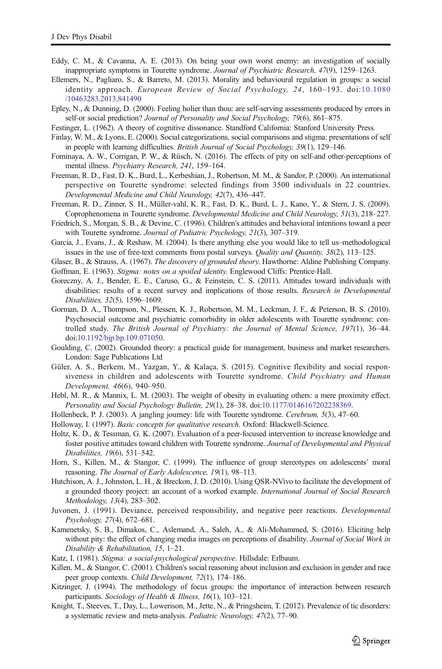- <span id="page-25-0"></span>Eddy, C. M., & Cavanna, A. E. (2013). On being your own worst enemy: an investigation of socially inappropriate symptoms in Tourette syndrome. *Journal of Psychiatric Research, 47*(9), 1259–1263.
- Ellemers, N., Pagliaro, S., & Barreto, M. (2013). Morality and behavioural regulation in groups: a social identity approach. *European Review of Social Psychology, 24*, 160–193. doi:[10.1080](http://dx.doi.org/10.1080/10463283.2013.841490) [/10463283.2013.841490](http://dx.doi.org/10.1080/10463283.2013.841490)
- Epley, N., & Dunning, D. (2000). Feeling holier than thou: are self-serving assessments produced by errors in self-or social prediction? *Journal of Personality and Social Psychology, 79*(6), 861–875.
- Festinger, L. (1962). A theory of cognitive dissonance. Standford California: Stanford University Press.
- Finlay, W. M., & Lyons, E. (2000). Social categorizations, social comparisons and stigma: presentations of self in people with learning difficulties. *British Journal of Social Psychology, 39*(1), 129–146.
- Fominaya, A. W., Corrigan, P. W., & Rüsch, N. (2016). The effects of pity on self-and other-perceptions of mental illness. *Psychiatry Research, 241*, 159–164.
- Freeman, R. D., Fast, D. K., Burd, L., Kerbeshian, J., Robertson, M. M., & Sandor, P. (2000). An international perspective on Tourette syndrome: selected findings from 3500 individuals in 22 countries. *Developmental Medicine and Child Neurology, 42*(7), 436–447.
- Freeman, R. D., Zinner, S. H., Müller-vahl, K. R., Fast, D. K., Burd, L. J., Kano, Y., & Stern, J. S. (2009). Coprophenomena in Tourette syndrome. *Developmental Medicine and Child Neurology, 51*(3), 218–227.
- Friedrich, S., Morgan, S. B., & Devine, C. (1996). Children's attitudes and behavioral intentions toward a peer with Tourette syndrome. *Journal of Pediatric Psychology, 21*(3), 307–319.
- Garcia, J., Evans, J., & Reshaw, M. (2004). Is there anything else you would like to tell us–methodological issues in the use of free-text comments from postal surveys. *Quality and Quantity, 38*(2), 113–125.
- Glaser, B., & Strauss, A. (1967). *The discovery of grounded theory*. Hawthorne: Aldine Publishing Company.
- Goffman, E. (1963). *Stigma: notes on a spoiled identity*. Englewood Cliffs: Prentice-Hall.
- Goreczny, A. J., Bender, E. E., Caruso, G., & Feinstein, C. S. (2011). Attitudes toward individuals with disabilities: results of a recent survey and implications of those results. *Research in Developmental Disabilities, 32*(5), 1596–1609.
- Gorman, D. A., Thompson, N., Plessen, K. J., Robertson, M. M., Leckman, J. F., & Peterson, B. S. (2010). Psychosocial outcome and psychiatric comorbidity in older adolescents with Tourette syndrome: controlled study. *The British Journal of Psychiatry: the Journal of Mental Science, 197*(1), 36–44. doi:[10.1192/bjp.bp.109.071050.](http://dx.doi.org/10.1192/bjp.bp.109.071050)
- Goulding, C. (2002). Grounded theory: a practical guide for management, business and market researchers. London: Sage Publications Ltd
- Güler, A. S., Berkem, M., Yazgan, Y., & Kalaça, S. (2015). Cognitive flexibility and social responsiveness in children and adolescents with Tourette syndrome. *Child Psychiatry and Human Development, 46*(6), 940–950.
- Hebl, M. R., & Mannix, L. M. (2003). The weight of obesity in evaluating others: a mere proximity effect. *Personality and Social Psychology Bulletin, 29*(1), 28–38. doi[:10.1177/0146167202238369](http://dx.doi.org/10.1177/0146167202238369).
- Hollenbeck, P. J. (2003). A jangling journey: life with Tourette syndrome. *Cerebrum, 5*(3), 47–60.
- Holloway, I. (1997). *Basic concepts for qualitative research*. Oxford: Blackwell-Science.
- Holtz, K. D., & Tessman, G. K. (2007). Evaluation of a peer-focused intervention to increase knowledge and foster positive attitudes toward children with Tourette syndrome. *Journal of Developmental and Physical Disabilities, 19*(6), 531–542.
- Horn, S., Killen, M., & Stangor, C. (1999). The influence of group stereotypes on adolescents' moral reasoning. *The Journal of Early Adolescence, 19*(1), 98–113.
- Hutchison, A. J., Johnston, L. H., & Breckon, J. D. (2010). Using QSR-NVivo to facilitate the development of a grounded theory project: an account of a worked example. *International Journal of Social Research Methodology, 13*(4), 283–302.
- Juvonen, J. (1991). Deviance, perceived responsibility, and negative peer reactions. *Developmental Psychology, 27*(4), 672–681.
- Kamenetsky, S. B., Dimakos, C., Aslemand, A., Saleh, A., & Ali-Mohammed, S. (2016). Eliciting help without pity: the effect of changing media images on perceptions of disability. *Journal of Social Work in Disability & Rehabilitation, 15*, 1–21.
- Katz, I. (1981). *Stigma: a social-psychological perspective*. Hillsdale: Erlbaum.
- Killen, M., & Stangor, C. (2001). Children's social reasoning about inclusion and exclusion in gender and race peer group contexts. *Child Development, 72*(1), 174–186.
- Kitzinger, J. (1994). The methodology of focus groups: the importance of interaction between research participants. *Sociology of Health & Illness, 16*(1), 103–121.
- Knight, T., Steeves, T., Day, L., Lowerison, M., Jette, N., & Pringsheim, T. (2012). Prevalence of tic disorders: a systematic review and meta-analysis. *Pediatric Neurology, 47*(2), 77–90.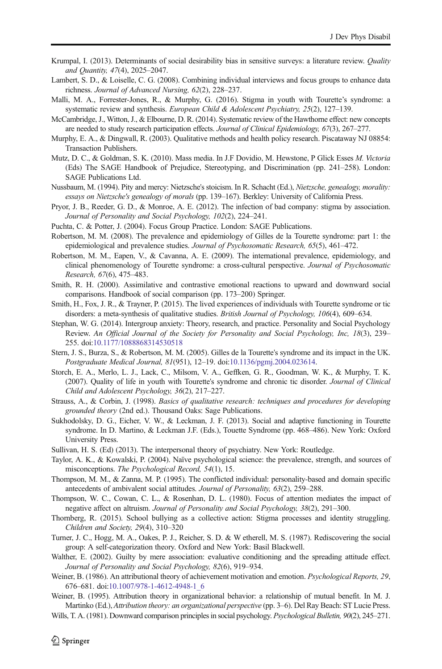- <span id="page-26-0"></span>Krumpal, I. (2013). Determinants of social desirability bias in sensitive surveys: a literature review. *Quality and Quantity, 47*(4), 2025–2047.
- Lambert, S. D., & Loiselle, C. G. (2008). Combining individual interviews and focus groups to enhance data richness. *Journal of Advanced Nursing, 62*(2), 228–237.
- Malli, M. A., Forrester-Jones, R., & Murphy, G. (2016). Stigma in youth with Tourette's syndrome: a systematic review and synthesis. *European Child & Adolescent Psychiatry, 25*(2), 127–139.
- McCambridge, J., Witton, J., & Elbourne, D. R. (2014). Systematic review of the Hawthorne effect: new concepts are needed to study research participation effects. *Journal of Clinical Epidemiology, 67*(3), 267–277.
- Murphy, E. A., & Dingwall, R. (2003). Qualitative methods and health policy research. Piscataway NJ 08854: Transaction Publishers.
- Mutz, D. C., & Goldman, S. K. (2010). Mass media. In J.F Dovidio, M. Hewstone, P Glick Esses *M. Victoria* (Eds) The SAGE Handbook of Prejudice, Stereotyping, and Discrimination (pp. 241–258). London: SAGE Publications Ltd.
- Nussbaum, M. (1994). Pity and mercy: Nietzsche's stoicism. In R. Schacht (Ed.), *Nietzsche, genealogy, morality: essays on Nietzsche's genealogy of morals* (pp. 139–167). Berkley: University of California Press.
- Pryor, J. B., Reeder, G. D., & Monroe, A. E. (2012). The infection of bad company: stigma by association. *Journal of Personality and Social Psychology, 102*(2), 224–241.
- Puchta, C. & Potter, J. (2004). Focus Group Practice. London: SAGE Publications.
- Robertson, M. M. (2008). The prevalence and epidemiology of Gilles de la Tourette syndrome: part 1: the epidemiological and prevalence studies. *Journal of Psychosomatic Research, 65*(5), 461–472.
- Robertson, M. M., Eapen, V., & Cavanna, A. E. (2009). The international prevalence, epidemiology, and clinical phenomenology of Tourette syndrome: a cross-cultural perspective. *Journal of Psychosomatic Research, 67*(6), 475–483.
- Smith, R. H. (2000). Assimilative and contrastive emotional reactions to upward and downward social comparisons. Handbook of social comparison (pp. 173–200) Springer.
- Smith, H., Fox, J. R., & Trayner, P. (2015). The lived experiences of individuals with Tourette syndrome or tic disorders: a meta-synthesis of qualitative studies. *British Journal of Psychology, 106*(4), 609–634.
- Stephan, W. G. (2014). Intergroup anxiety: Theory, research, and practice. Personality and Social Psychology Review. *An Official Journal of the Society for Personality and Social Psychology, Inc, 18*(3), 239– 255. doi:[10.1177/1088868314530518](http://dx.doi.org/10.1177/1088868314530518)
- Stern, J. S., Burza, S., & Robertson, M. M. (2005). Gilles de la Tourette's syndrome and its impact in the UK. *Postgraduate Medical Journal, 81*(951), 12–19. doi[:10.1136/pgmj.2004.023614.](http://dx.doi.org/10.1136/pgmj.2004.023614)
- Storch, E. A., Merlo, L. J., Lack, C., Milsom, V. A., Geffken, G. R., Goodman, W. K., & Murphy, T. K. (2007). Quality of life in youth with Tourette's syndrome and chronic tic disorder. *Journal of Clinical Child and Adolescent Psychology, 36*(2), 217–227.
- Strauss, A., & Corbin, J. (1998). *Basics of qualitative research: techniques and procedures for developing grounded theory* (2nd ed.). Thousand Oaks: Sage Publications.
- Sukhodolsky, D. G., Eicher, V. W., & Leckman, J. F. (2013). Social and adaptive functioning in Tourette syndrome. In D. Martino, & Leckman J.F. (Eds.), Touette Syndrome (pp. 468–486). New York: Oxford University Press.
- Sullivan, H. S. (Ed) (2013). The interpersonal theory of psychiatry. New York: Routledge.
- Taylor, A. K., & Kowalski, P. (2004). Naïve psychological science: the prevalence, strength, and sources of misconceptions. *The Psychological Record, 54*(1), 15.
- Thompson, M. M., & Zanna, M. P. (1995). The conflicted individual: personality-based and domain specific antecedents of ambivalent social attitudes. *Journal of Personality, 63*(2), 259–288.
- Thompson, W. C., Cowan, C. L., & Rosenhan, D. L. (1980). Focus of attention mediates the impact of negative affect on altruism. *Journal of Personality and Social Psychology, 38*(2), 291–300.
- Thornberg, R. (2015). School bullying as a collective action: Stigma processes and identity struggling. *Children and Society, 29*(4), 310–320
- Turner, J. C., Hogg, M. A., Oakes, P. J., Reicher, S. D. & W etherell, M. S. (1987). Rediscovering the social group: A self-categorization theory. Oxford and New York: Basil Blackwell.
- Walther, E. (2002). Guilty by mere association: evaluative conditioning and the spreading attitude effect. *Journal of Personality and Social Psychology, 82*(6), 919–934.
- Weiner, B. (1986). An attributional theory of achievement motivation and emotion. *Psychological Reports, 29*, 676–681. doi[:10.1007/978-1-4612-4948-1\\_6](http://dx.doi.org/10.1007/978-1-4612-4948-1_6)
- Weiner, B. (1995). Attribution theory in organizational behavior: a relationship of mutual benefit. In M. J. Martinko (Ed.), *Attribution theory: an organizational perspective* (pp. 3–6). Del Ray Beach: ST Lucie Press.
- Wills, T. A. (1981). Downward comparison principles in social psychology. *Psychological Bulletin, 90*(2), 245–271.